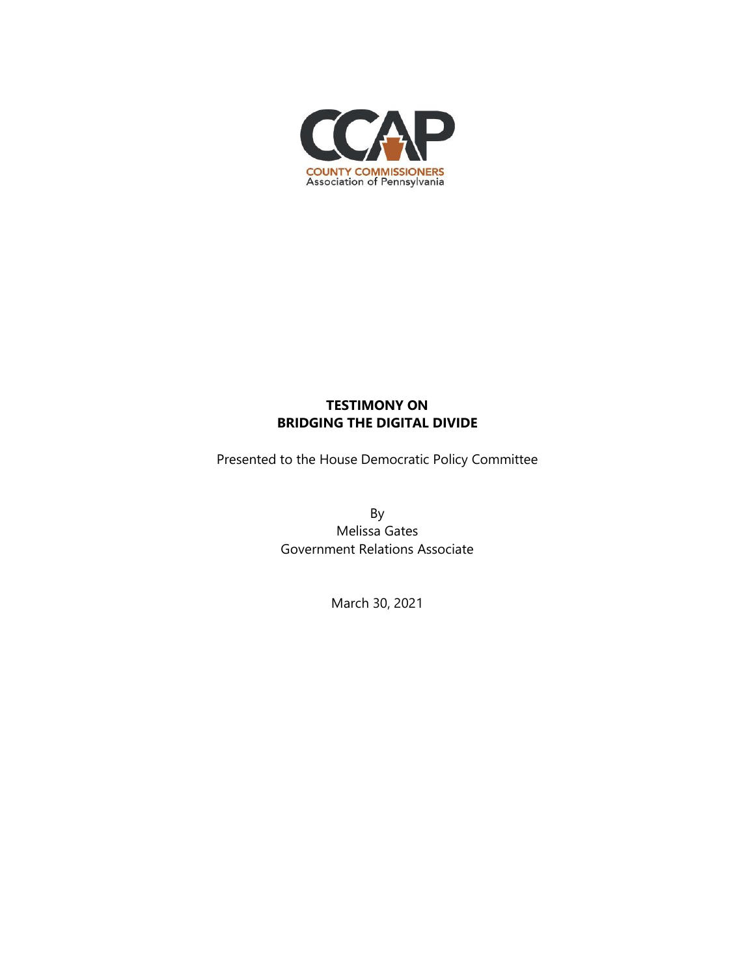

## **TESTIMONY ON BRIDGING THE DIGITAL DIVIDE**

Presented to the House Democratic Policy Committee

By Melissa Gates Government Relations Associate

March 30, 2021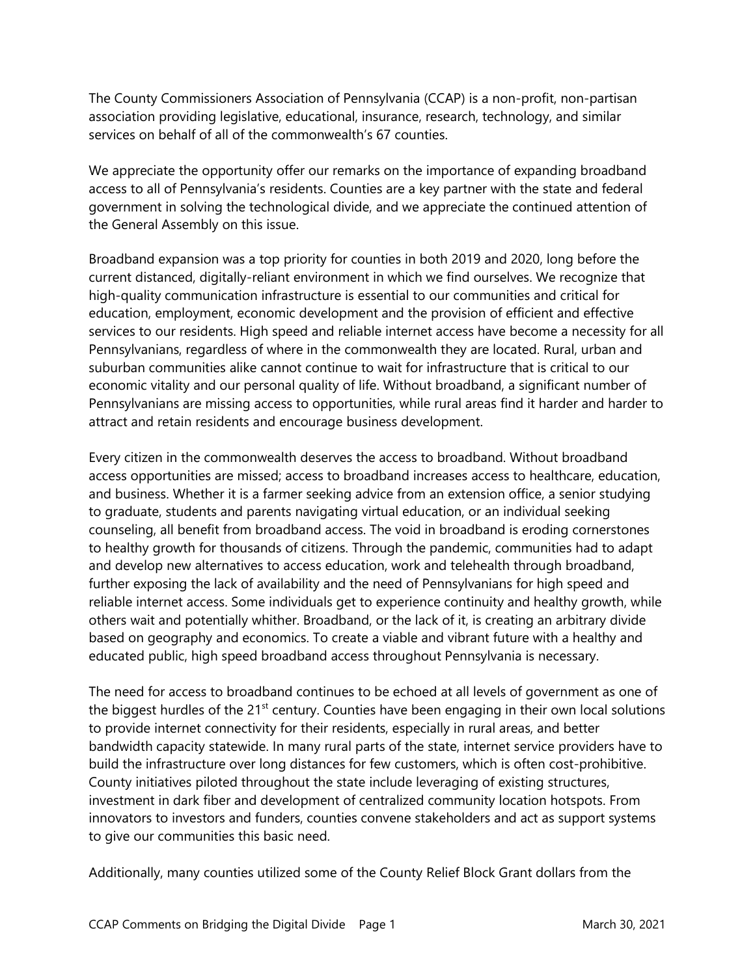The County Commissioners Association of Pennsylvania (CCAP) is a non-profit, non-partisan association providing legislative, educational, insurance, research, technology, and similar services on behalf of all of the commonwealth's 67 counties.

We appreciate the opportunity offer our remarks on the importance of expanding broadband access to all of Pennsylvania's residents. Counties are a key partner with the state and federal government in solving the technological divide, and we appreciate the continued attention of the General Assembly on this issue.

Broadband expansion was a top priority for counties in both 2019 and 2020, long before the current distanced, digitally-reliant environment in which we find ourselves. We recognize that high-quality communication infrastructure is essential to our communities and critical for education, employment, economic development and the provision of efficient and effective services to our residents. High speed and reliable internet access have become a necessity for all Pennsylvanians, regardless of where in the commonwealth they are located. Rural, urban and suburban communities alike cannot continue to wait for infrastructure that is critical to our economic vitality and our personal quality of life. Without broadband, a significant number of Pennsylvanians are missing access to opportunities, while rural areas find it harder and harder to attract and retain residents and encourage business development.

Every citizen in the commonwealth deserves the access to broadband. Without broadband access opportunities are missed; access to broadband increases access to healthcare, education, and business. Whether it is a farmer seeking advice from an extension office, a senior studying to graduate, students and parents navigating virtual education, or an individual seeking counseling, all benefit from broadband access. The void in broadband is eroding cornerstones to healthy growth for thousands of citizens. Through the pandemic, communities had to adapt and develop new alternatives to access education, work and telehealth through broadband, further exposing the lack of availability and the need of Pennsylvanians for high speed and reliable internet access. Some individuals get to experience continuity and healthy growth, while others wait and potentially whither. Broadband, or the lack of it, is creating an arbitrary divide based on geography and economics. To create a viable and vibrant future with a healthy and educated public, high speed broadband access throughout Pennsylvania is necessary.

The need for access to broadband continues to be echoed at all levels of government as one of the biggest hurdles of the 21<sup>st</sup> century. Counties have been engaging in their own local solutions to provide internet connectivity for their residents, especially in rural areas, and better bandwidth capacity statewide. In many rural parts of the state, internet service providers have to build the infrastructure over long distances for few customers, which is often cost-prohibitive. County initiatives piloted throughout the state include leveraging of existing structures, investment in dark fiber and development of centralized community location hotspots. From innovators to investors and funders, counties convene stakeholders and act as support systems to give our communities this basic need.

Additionally, many counties utilized some of the County Relief Block Grant dollars from the